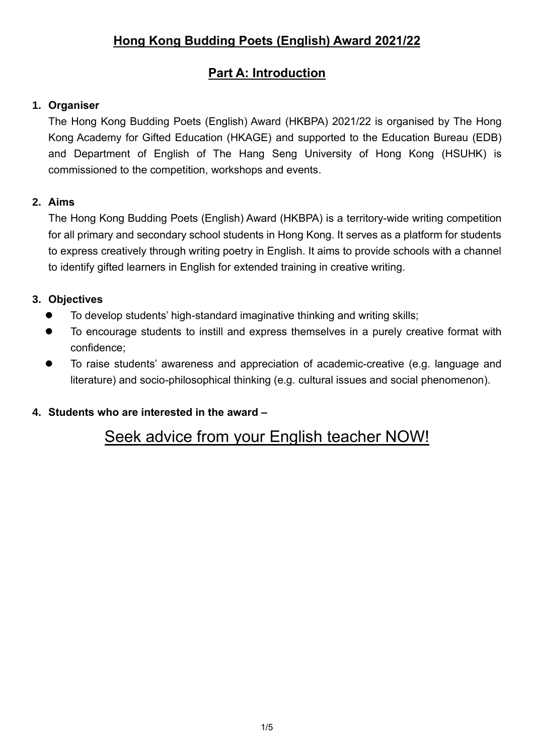# **Hong Kong Budding Poets (English) Award 2021/22**

# **Part A: Introduction**

## **1. Organiser**

The Hong Kong Budding Poets (English) Award (HKBPA) 2021/22 is organised by The Hong Kong Academy for Gifted Education (HKAGE) and supported to the Education Bureau (EDB) and Department of English of The Hang Seng University of Hong Kong (HSUHK) is commissioned to the competition, workshops and events.

## **2. Aims**

The Hong Kong Budding Poets (English) Award (HKBPA) is a territory-wide writing competition for all primary and secondary school students in Hong Kong. It serves as a platform for students to express creatively through writing poetry in English. It aims to provide schools with a channel to identify gifted learners in English for extended training in creative writing.

## **3. Objectives**

- ⚫ To develop students' high-standard imaginative thinking and writing skills;
- To encourage students to instill and express themselves in a purely creative format with confidence;
- To raise students' awareness and appreciation of academic-creative (e.g. language and literature) and socio-philosophical thinking (e.g. cultural issues and social phenomenon).

# **4. Students who are interested in the award –**

# Seek advice from your English teacher NOW!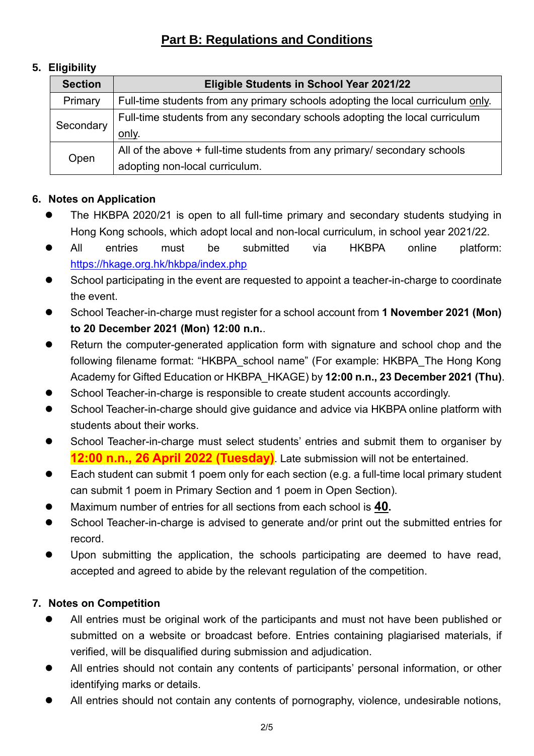# **Part B: Regulations and Conditions**

# **5. Eligibility**

| <b>Section</b> | Eligible Students in School Year 2021/22                                        |  |  |
|----------------|---------------------------------------------------------------------------------|--|--|
| Primary        | Full-time students from any primary schools adopting the local curriculum only. |  |  |
| Secondary      | Full-time students from any secondary schools adopting the local curriculum     |  |  |
|                | only.                                                                           |  |  |
| Open           | All of the above + full-time students from any primary/ secondary schools       |  |  |
|                | adopting non-local curriculum.                                                  |  |  |

# **6. Notes on Application**

- ⚫ The HKBPA 2020/21 is open to all full-time primary and secondary students studying in Hong Kong schools, which adopt local and non-local curriculum, in school year 2021/22.
- ⚫ All entries must be submitted via HKBPA online platform: <https://hkage.org.hk/hkbpa/index.php>
- School participating in the event are requested to appoint a teacher-in-charge to coordinate the event.
- ⚫ School Teacher-in-charge must register for a school account from **1 November 2021 (Mon) to 20 December 2021 (Mon) 12:00 n.n.**.
- Return the computer-generated application form with signature and school chop and the following filename format: "HKBPA\_school name" (For example: HKBPA\_The Hong Kong Academy for Gifted Education or HKBPA\_HKAGE) by **12:00 n.n., 23 December 2021 (Thu)**.
- School Teacher-in-charge is responsible to create student accounts accordingly.
- School Teacher-in-charge should give guidance and advice via HKBPA online platform with students about their works.
- School Teacher-in-charge must select students' entries and submit them to organiser by **12:00 n.n., 26 April 2022 (Tuesday)**. Late submission will not be entertained.
- Each student can submit 1 poem only for each section (e.g. a full-time local primary student can submit 1 poem in Primary Section and 1 poem in Open Section).
- ⚫ Maximum number of entries for all sections from each school is **40.**
- School Teacher-in-charge is advised to generate and/or print out the submitted entries for record.
- Upon submitting the application, the schools participating are deemed to have read, accepted and agreed to abide by the relevant regulation of the competition.

# **7. Notes on Competition**

- ⚫ All entries must be original work of the participants and must not have been published or submitted on a website or broadcast before. Entries containing plagiarised materials, if verified, will be disqualified during submission and adjudication.
- All entries should not contain any contents of participants' personal information, or other identifying marks or details.
- All entries should not contain any contents of pornography, violence, undesirable notions,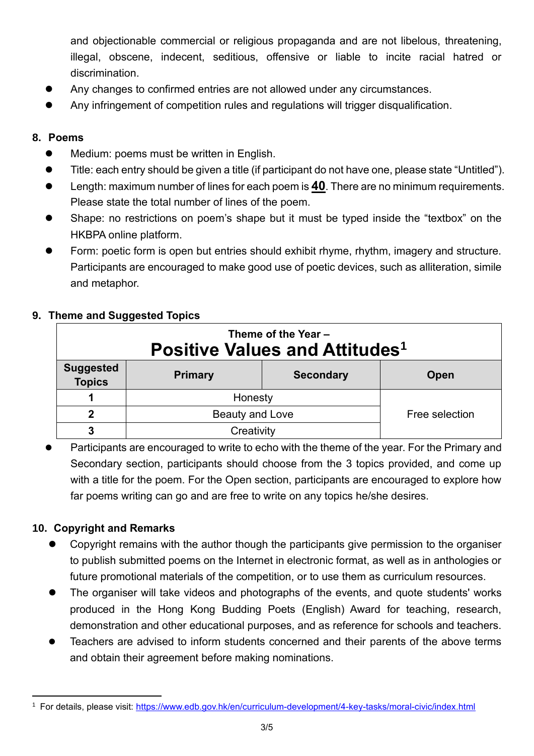and objectionable commercial or religious propaganda and are not libelous, threatening, illegal, obscene, indecent, seditious, offensive or liable to incite racial hatred or discrimination.

- ⚫ Any changes to confirmed entries are not allowed under any circumstances.
- ⚫ Any infringement of competition rules and regulations will trigger disqualification.

# **8. Poems**

- Medium: poems must be written in English.
- ⚫ Title: each entry should be given a title (if participant do not have one, please state "Untitled").
- ⚫ Length: maximum number of lines for each poem is **40**. There are no minimum requirements. Please state the total number of lines of the poem.
- Shape: no restrictions on poem's shape but it must be typed inside the "textbox" on the HKBPA online platform.
- ⚫ Form: poetic form is open but entries should exhibit rhyme, rhythm, imagery and structure. Participants are encouraged to make good use of poetic devices, such as alliteration, simile and metaphor.

## **9. Theme and Suggested Topics**

| Theme of the Year -<br><b>Positive Values and Attitudes</b> <sup>1</sup> |                 |                  |                |  |  |
|--------------------------------------------------------------------------|-----------------|------------------|----------------|--|--|
| <b>Suggested</b><br><b>Topics</b>                                        | <b>Primary</b>  | <b>Secondary</b> | Open           |  |  |
|                                                                          | Honesty         |                  |                |  |  |
| 2                                                                        | Beauty and Love |                  | Free selection |  |  |
|                                                                          | Creativity      |                  |                |  |  |

Participants are encouraged to write to echo with the theme of the year. For the Primary and Secondary section, participants should choose from the 3 topics provided, and come up with a title for the poem. For the Open section, participants are encouraged to explore how far poems writing can go and are free to write on any topics he/she desires.

#### **10. Copyright and Remarks**

- ⚫ Copyright remains with the author though the participants give permission to the organiser to publish submitted poems on the Internet in electronic format, as well as in anthologies or future promotional materials of the competition, or to use them as curriculum resources.
- ⚫ The organiser will take videos and photographs of the events, and quote students' works produced in the Hong Kong Budding Poets (English) Award for teaching, research, demonstration and other educational purposes, and as reference for schools and teachers.
- ⚫ Teachers are advised to inform students concerned and their parents of the above terms and obtain their agreement before making nominations.

<sup>1</sup> For details, please visit:<https://www.edb.gov.hk/en/curriculum-development/4-key-tasks/moral-civic/index.html>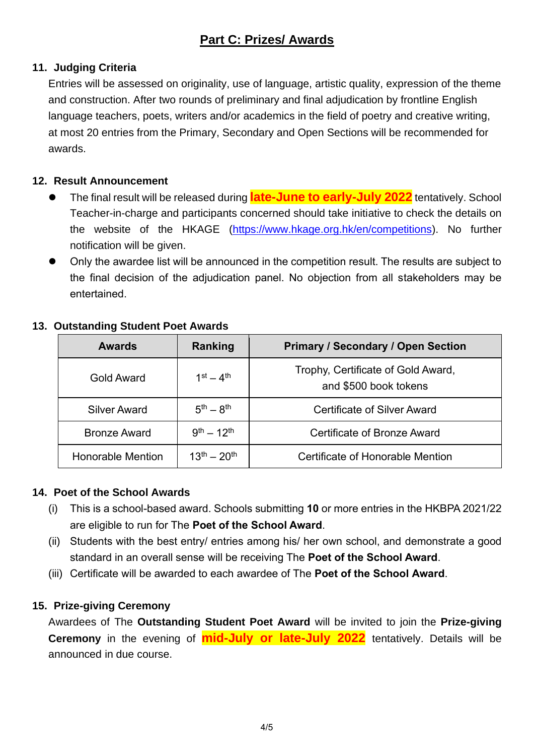# **11. Judging Criteria**

Entries will be assessed on originality, use of language, artistic quality, expression of the theme and construction. After two rounds of preliminary and final adjudication by frontline English language teachers, poets, writers and/or academics in the field of poetry and creative writing, at most 20 entries from the Primary, Secondary and Open Sections will be recommended for awards.

#### **12. Result Announcement**

- ⚫ The final result will be released during **late-June to early-July 2022** tentatively. School Teacher-in-charge and participants concerned should take initiative to check the details on the website of the HKAGE [\(https://www.hkage.org.hk/en/competitions\)](https://www.hkage.org.hk/en/competitions). No further notification will be given.
- ⚫ Only the awardee list will be announced in the competition result. The results are subject to the final decision of the adjudication panel. No objection from all stakeholders may be entertained.

| <b>Awards</b>            | Ranking             | <b>Primary / Secondary / Open Section</b>                   |
|--------------------------|---------------------|-------------------------------------------------------------|
| Gold Award               | $1st - 4th$         | Trophy, Certificate of Gold Award,<br>and \$500 book tokens |
| <b>Silver Award</b>      | $5^{th} - 8^{th}$   | <b>Certificate of Silver Award</b>                          |
| <b>Bronze Award</b>      | $9^{th} - 12^{th}$  | Certificate of Bronze Award                                 |
| <b>Honorable Mention</b> | $13^{th} - 20^{th}$ | Certificate of Honorable Mention                            |

#### **13. Outstanding Student Poet Awards**

#### **14. Poet of the School Awards**

- (i) This is a school-based award. Schools submitting **10** or more entries in the HKBPA 2021/22 are eligible to run for The **Poet of the School Award**.
- (ii) Students with the best entry/ entries among his/ her own school, and demonstrate a good standard in an overall sense will be receiving The **Poet of the School Award**.
- (iii) Certificate will be awarded to each awardee of The **Poet of the School Award**.

#### **15. Prize-giving Ceremony**

Awardees of The **Outstanding Student Poet Award** will be invited to join the **Prize-giving Ceremony** in the evening of **mid-July or late-July 2022** tentatively. Details will be announced in due course.